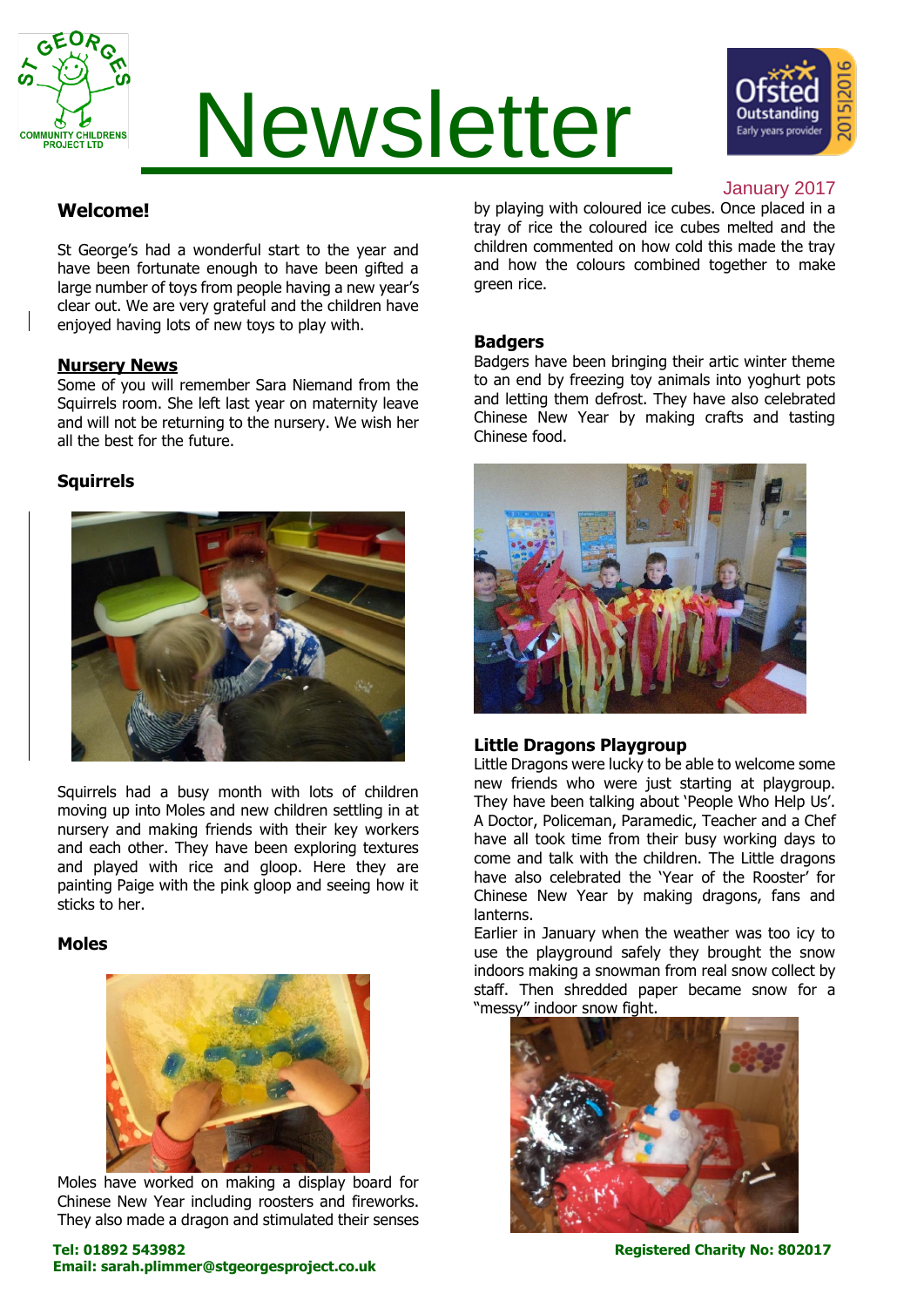

# Newsletter



#### January 2017

### **Welcome!**

St George's had a wonderful start to the year and have been fortunate enough to have been gifted a large number of toys from people having a new year's clear out. We are very grateful and the children have enjoyed having lots of new toys to play with.

#### **Nursery News**

Some of you will remember Sara Niemand from the Squirrels room. She left last year on maternity leave and will not be returning to the nursery. We wish her all the best for the future.

#### **Squirrels**



Squirrels had a busy month with lots of children moving up into Moles and new children settling in at nursery and making friends with their key workers and each other. They have been exploring textures and played with rice and gloop. Here they are painting Paige with the pink gloop and seeing how it sticks to her.

#### **Moles**



Moles have worked on making a display board for Chinese New Year including roosters and fireworks. They also made a dragon and stimulated their senses by playing with coloured ice cubes. Once placed in a tray of rice the coloured ice cubes melted and the children commented on how cold this made the tray and how the colours combined together to make green rice.

#### **Badgers**

Badgers have been bringing their artic winter theme to an end by freezing toy animals into yoghurt pots and letting them defrost. They have also celebrated Chinese New Year by making crafts and tasting Chinese food.



#### **Little Dragons Playgroup**

Little Dragons were lucky to be able to welcome some new friends who were just starting at playgroup. They have been talking about 'People Who Help Us'. A Doctor, Policeman, Paramedic, Teacher and a Chef have all took time from their busy working days to come and talk with the children. The Little dragons have also celebrated the 'Year of the Rooster' for Chinese New Year by making dragons, fans and lanterns.

Earlier in January when the weather was too icy to use the playground safely they brought the snow indoors making a snowman from real snow collect by staff. Then shredded paper became snow for a "messy" indoor snow fight.

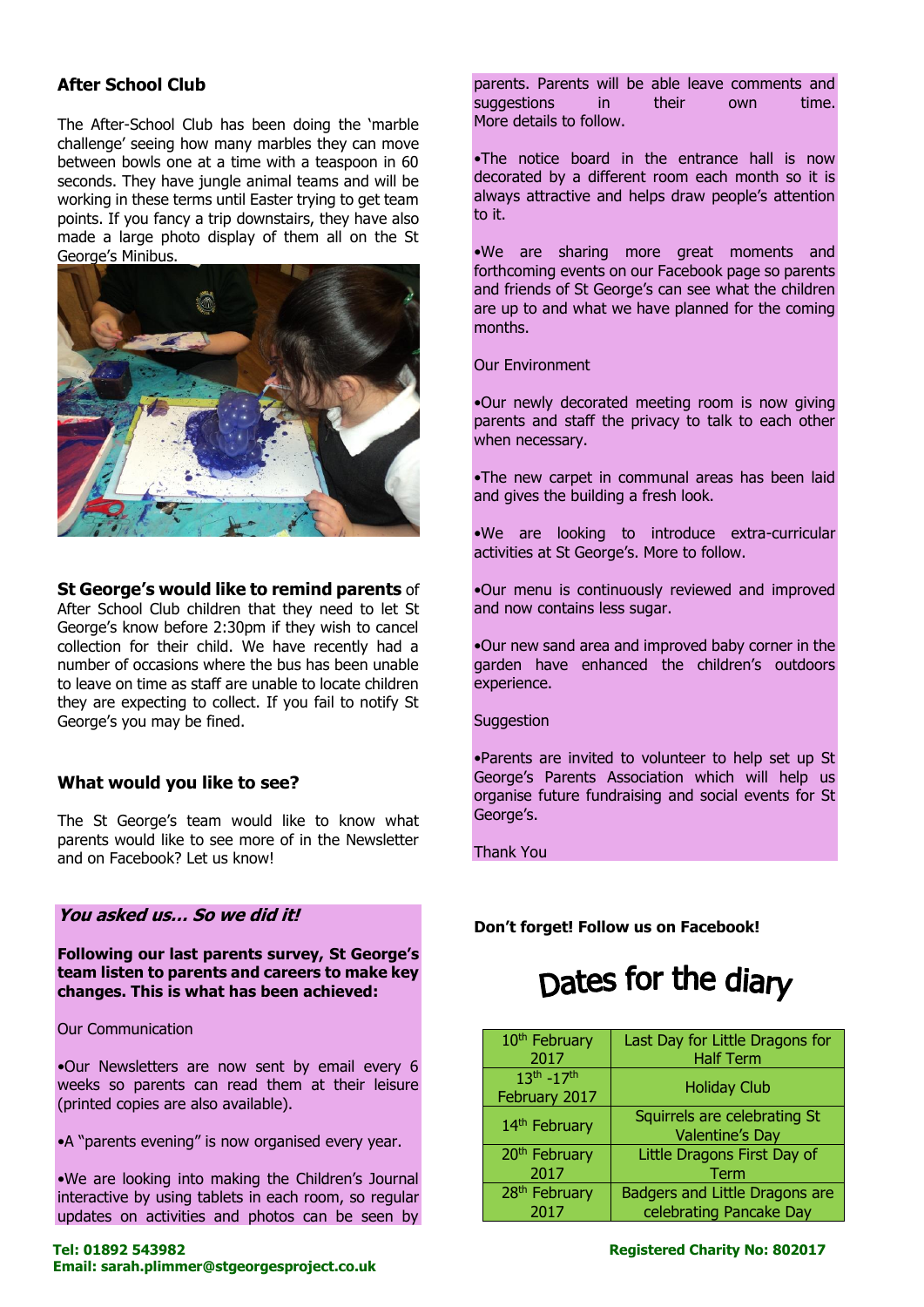#### **After School Club**

The After-School Club has been doing the 'marble challenge' seeing how many marbles they can move between bowls one at a time with a teaspoon in 60 seconds. They have jungle animal teams and will be working in these terms until Easter trying to get team points. If you fancy a trip downstairs, they have also made a large photo display of them all on the St George's Minibus.



**St George's would like to remind parents** of

After School Club children that they need to let St George's know before 2:30pm if they wish to cancel collection for their child. We have recently had a number of occasions where the bus has been unable to leave on time as staff are unable to locate children they are expecting to collect. If you fail to notify St George's you may be fined.

#### **What would you like to see?**

The St George's team would like to know what parents would like to see more of in the Newsletter and on Facebook? Let us know!

#### **You asked us… So we did it!**

**Following our last parents survey, St George's team listen to parents and careers to make key changes. This is what has been achieved:**

Our Communication

•Our Newsletters are now sent by email every 6 weeks so parents can read them at their leisure (printed copies are also available).

•A "parents evening" is now organised every year.

•We are looking into making the Children's Journal interactive by using tablets in each room, so regular updates on activities and photos can be seen by parents. Parents will be able leave comments and suggestions in their own time. More details to follow.

•The notice board in the entrance hall is now decorated by a different room each month so it is always attractive and helps draw people's attention to it.

•We are sharing more great moments and forthcoming events on our Facebook page so parents and friends of St George's can see what the children are up to and what we have planned for the coming months.

Our Environment

•Our newly decorated meeting room is now giving parents and staff the privacy to talk to each other when necessary.

•The new carpet in communal areas has been laid and gives the building a fresh look.

•We are looking to introduce extra-curricular activities at St George's. More to follow.

•Our menu is continuously reviewed and improved and now contains less sugar.

•Our new sand area and improved baby corner in the garden have enhanced the children's outdoors experience.

**Suggestion** 

•Parents are invited to volunteer to help set up St George's Parents Association which will help us organise future fundraising and social events for St George's.

Thank You

**Don't forget! Follow us on Facebook!**

## Dates for the diary

| 10 <sup>th</sup> February            | Last Day for Little Dragons for                           |
|--------------------------------------|-----------------------------------------------------------|
| 2017                                 | <b>Half Term</b>                                          |
| $13^{th} - 17^{th}$<br>February 2017 | <b>Holiday Club</b>                                       |
| 14 <sup>th</sup> February            | Squirrels are celebrating St<br><b>Valentine's Day</b>    |
| 20 <sup>th</sup> February<br>2017    | Little Dragons First Day of<br>Term                       |
| 28 <sup>th</sup> February<br>2017    | Badgers and Little Dragons are<br>celebrating Pancake Day |